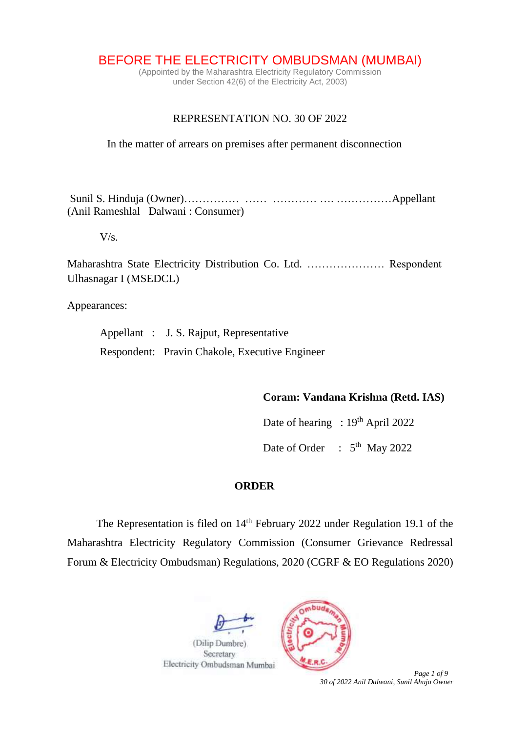BEFORE THE ELECTRICITY OMBUDSMAN (MUMBAI)

(Appointed by the Maharashtra Electricity Regulatory Commission under Section 42(6) of the Electricity Act, 2003)

## REPRESENTATION NO. 30 OF 2022

In the matter of arrears on premises after permanent disconnection

Sunil S. Hinduja (Owner)…………… …… ………… …. ……………Appellant (Anil Rameshlal Dalwani : Consumer)

 $V/s$ .

Maharashtra State Electricity Distribution Co. Ltd. ………………… Respondent Ulhasnagar I (MSEDCL)

Appearances:

Appellant : J. S. Rajput, Representative Respondent: Pravin Chakole, Executive Engineer

## **Coram: Vandana Krishna (Retd. IAS)**

Date of hearing :  $19<sup>th</sup>$  April 2022

Date of Order :  $5<sup>th</sup>$  May 2022

#### **ORDER**

The Representation is filed on 14<sup>th</sup> February 2022 under Regulation 19.1 of the Maharashtra Electricity Regulatory Commission (Consumer Grievance Redressal Forum & Electricity Ombudsman) Regulations, 2020 (CGRF & EO Regulations 2020)





 *Page 1 of 9 30 of 2022 Anil Dalwani, Sunil Ahuja Owner*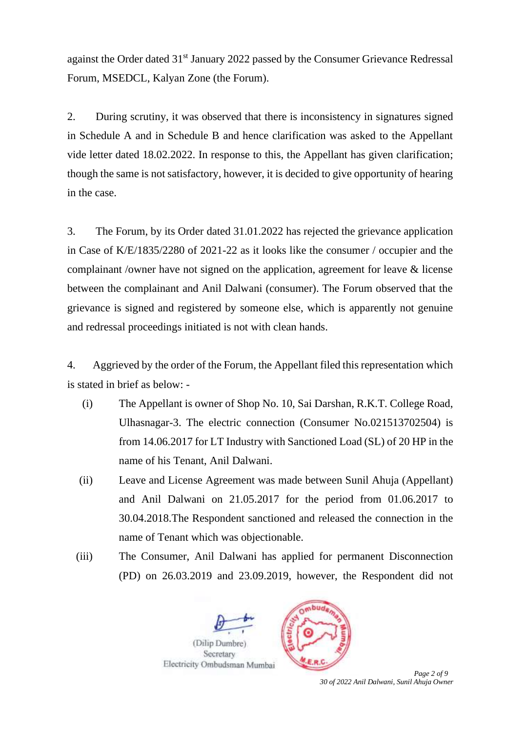against the Order dated 31st January 2022 passed by the Consumer Grievance Redressal Forum, MSEDCL, Kalyan Zone (the Forum).

2. During scrutiny, it was observed that there is inconsistency in signatures signed in Schedule A and in Schedule B and hence clarification was asked to the Appellant vide letter dated 18.02.2022. In response to this, the Appellant has given clarification; though the same is not satisfactory, however, it is decided to give opportunity of hearing in the case.

3. The Forum, by its Order dated 31.01.2022 has rejected the grievance application in Case of K/E/1835/2280 of 2021-22 as it looks like the consumer / occupier and the complainant /owner have not signed on the application, agreement for leave & license between the complainant and Anil Dalwani (consumer). The Forum observed that the grievance is signed and registered by someone else, which is apparently not genuine and redressal proceedings initiated is not with clean hands.

4. Aggrieved by the order of the Forum, the Appellant filed this representation which is stated in brief as below: -

- (i) The Appellant is owner of Shop No. 10, Sai Darshan, R.K.T. College Road, Ulhasnagar-3. The electric connection (Consumer No.021513702504) is from 14.06.2017 for LT Industry with Sanctioned Load (SL) of 20 HP in the name of his Tenant, Anil Dalwani.
- (ii) Leave and License Agreement was made between Sunil Ahuja (Appellant) and Anil Dalwani on 21.05.2017 for the period from 01.06.2017 to 30.04.2018.The Respondent sanctioned and released the connection in the name of Tenant which was objectionable.
- (iii) The Consumer, Anil Dalwani has applied for permanent Disconnection (PD) on 26.03.2019 and 23.09.2019, however, the Respondent did not





 *Page 2 of 9 30 of 2022 Anil Dalwani, Sunil Ahuja Owner*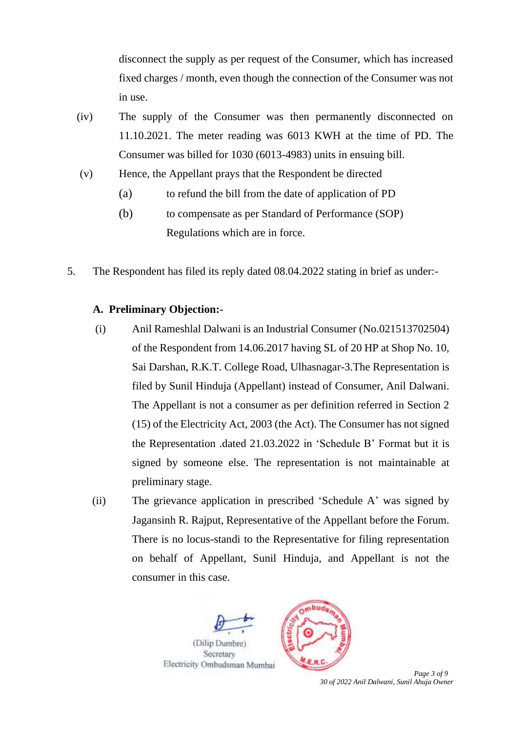disconnect the supply as per request of the Consumer, which has increased fixed charges / month, even though the connection of the Consumer was not in use.

- (iv) The supply of the Consumer was then permanently disconnected on 11.10.2021. The meter reading was 6013 KWH at the time of PD. The Consumer was billed for 1030 (6013-4983) units in ensuing bill.
- (v) Hence, the Appellant prays that the Respondent be directed
	- (a) to refund the bill from the date of application of PD
	- (b) to compensate as per Standard of Performance (SOP) Regulations which are in force.
- 5. The Respondent has filed its reply dated 08.04.2022 stating in brief as under:-

# **A. Preliminary Objection:-**

- (i) Anil Rameshlal Dalwani is an Industrial Consumer (No.021513702504) of the Respondent from 14.06.2017 having SL of 20 HP at Shop No. 10, Sai Darshan, R.K.T. College Road, Ulhasnagar-3.The Representation is filed by Sunil Hinduja (Appellant) instead of Consumer, Anil Dalwani. The Appellant is not a consumer as per definition referred in Section 2 (15) of the Electricity Act, 2003 (the Act). The Consumer has not signed the Representation .dated 21.03.2022 in 'Schedule B' Format but it is signed by someone else. The representation is not maintainable at preliminary stage.
- (ii) The grievance application in prescribed 'Schedule A' was signed by Jagansinh R. Rajput, Representative of the Appellant before the Forum. There is no locus-standi to the Representative for filing representation on behalf of Appellant, Sunil Hinduja, and Appellant is not the consumer in this case.





 *Page 3 of 9 30 of 2022 Anil Dalwani, Sunil Ahuja Owner*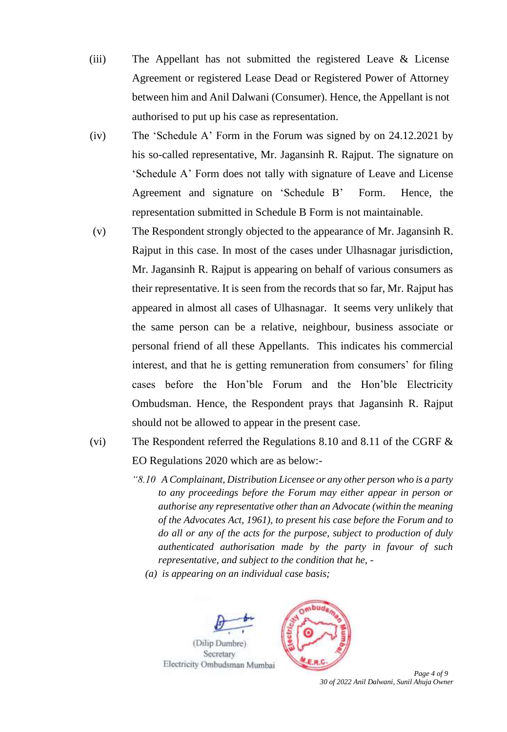- (iii) The Appellant has not submitted the registered Leave & License Agreement or registered Lease Dead or Registered Power of Attorney between him and Anil Dalwani (Consumer). Hence, the Appellant is not authorised to put up his case as representation.
- (iv) The 'Schedule A' Form in the Forum was signed by on 24.12.2021 by his so-called representative, Mr. Jagansinh R. Rajput. The signature on 'Schedule A' Form does not tally with signature of Leave and License Agreement and signature on 'Schedule B' Form. Hence, the representation submitted in Schedule B Form is not maintainable.
- (v) The Respondent strongly objected to the appearance of Mr. Jagansinh R. Rajput in this case. In most of the cases under Ulhasnagar jurisdiction, Mr. Jagansinh R. Rajput is appearing on behalf of various consumers as their representative. It is seen from the records that so far, Mr. Rajput has appeared in almost all cases of Ulhasnagar. It seems very unlikely that the same person can be a relative, neighbour, business associate or personal friend of all these Appellants. This indicates his commercial interest, and that he is getting remuneration from consumers' for filing cases before the Hon'ble Forum and the Hon'ble Electricity Ombudsman. Hence, the Respondent prays that Jagansinh R. Rajput should not be allowed to appear in the present case.
- (vi) The Respondent referred the Regulations 8.10 and 8.11 of the CGRF & EO Regulations 2020 which are as below:-
	- *"8.10 A Complainant, Distribution Licensee or any other person who is a party to any proceedings before the Forum may either appear in person or authorise any representative other than an Advocate (within the meaning of the Advocates Act, 1961), to present his case before the Forum and to do all or any of the acts for the purpose, subject to production of duly authenticated authorisation made by the party in favour of such representative, and subject to the condition that he, -*

*(a) is appearing on an individual case basis;*





 *Page 4 of 9 30 of 2022 Anil Dalwani, Sunil Ahuja Owner*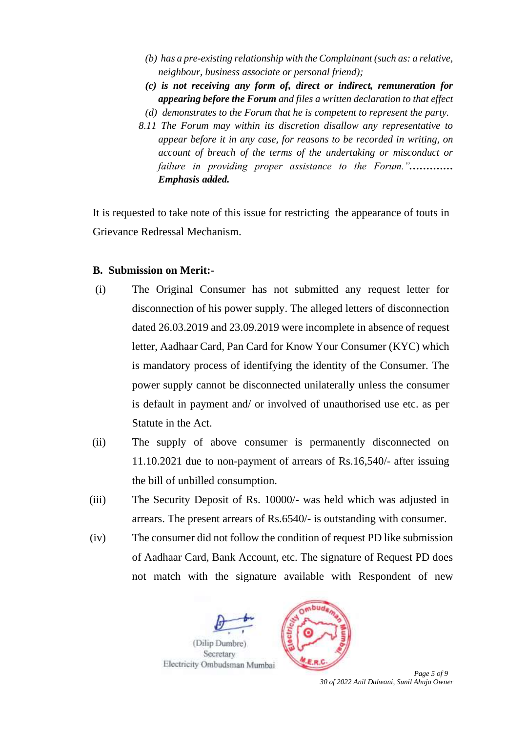- *(b) has a pre-existing relationship with the Complainant (such as: a relative, neighbour, business associate or personal friend);*
- *(c) is not receiving any form of, direct or indirect, remuneration for appearing before the Forum and files a written declaration to that effect*
- *(d) demonstrates to the Forum that he is competent to represent the party.*
- *8.11 The Forum may within its discretion disallow any representative to appear before it in any case, for reasons to be recorded in writing, on account of breach of the terms of the undertaking or misconduct or failure in providing proper assistance to the Forum.".………… Emphasis added.*

It is requested to take note of this issue for restricting the appearance of touts in Grievance Redressal Mechanism.

#### **B. Submission on Merit:-**

- (i) The Original Consumer has not submitted any request letter for disconnection of his power supply. The alleged letters of disconnection dated 26.03.2019 and 23.09.2019 were incomplete in absence of request letter, Aadhaar Card, Pan Card for Know Your Consumer (KYC) which is mandatory process of identifying the identity of the Consumer. The power supply cannot be disconnected unilaterally unless the consumer is default in payment and/ or involved of unauthorised use etc. as per Statute in the Act.
- (ii) The supply of above consumer is permanently disconnected on 11.10.2021 due to non-payment of arrears of Rs.16,540/- after issuing the bill of unbilled consumption.
- (iii) The Security Deposit of Rs. 10000/- was held which was adjusted in arrears. The present arrears of Rs.6540/- is outstanding with consumer.
- (iv) The consumer did not follow the condition of request PD like submission of Aadhaar Card, Bank Account, etc. The signature of Request PD does not match with the signature available with Respondent of new





 *Page 5 of 9 30 of 2022 Anil Dalwani, Sunil Ahuja Owner*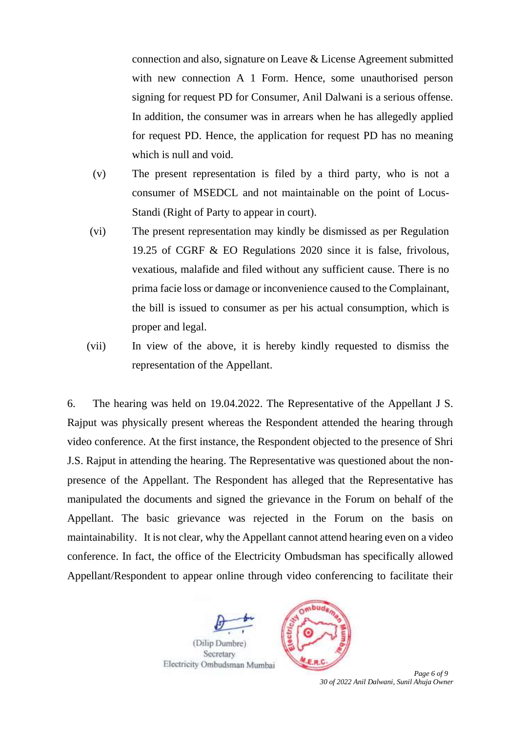connection and also, signature on Leave & License Agreement submitted with new connection A 1 Form. Hence, some unauthorised person signing for request PD for Consumer, Anil Dalwani is a serious offense. In addition, the consumer was in arrears when he has allegedly applied for request PD. Hence, the application for request PD has no meaning which is null and void.

- (v) The present representation is filed by a third party, who is not a consumer of MSEDCL and not maintainable on the point of Locus-Standi (Right of Party to appear in court).
- (vi) The present representation may kindly be dismissed as per Regulation 19.25 of CGRF & EO Regulations 2020 since it is false, frivolous, vexatious, malafide and filed without any sufficient cause. There is no prima facie loss or damage or inconvenience caused to the Complainant, the bill is issued to consumer as per his actual consumption, which is proper and legal.
- (vii) In view of the above, it is hereby kindly requested to dismiss the representation of the Appellant.

6. The hearing was held on 19.04.2022. The Representative of the Appellant J S. Rajput was physically present whereas the Respondent attended the hearing through video conference. At the first instance, the Respondent objected to the presence of Shri J.S. Rajput in attending the hearing. The Representative was questioned about the nonpresence of the Appellant. The Respondent has alleged that the Representative has manipulated the documents and signed the grievance in the Forum on behalf of the Appellant. The basic grievance was rejected in the Forum on the basis on maintainability. It is not clear, why the Appellant cannot attend hearing even on a video conference. In fact, the office of the Electricity Ombudsman has specifically allowed Appellant/Respondent to appear online through video conferencing to facilitate their





 *Page 6 of 9 30 of 2022 Anil Dalwani, Sunil Ahuja Owner*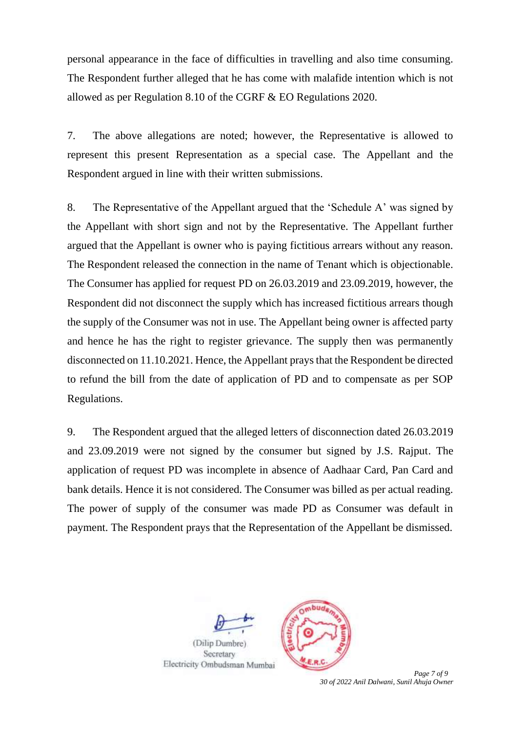personal appearance in the face of difficulties in travelling and also time consuming. The Respondent further alleged that he has come with malafide intention which is not allowed as per Regulation 8.10 of the CGRF & EO Regulations 2020.

7. The above allegations are noted; however, the Representative is allowed to represent this present Representation as a special case. The Appellant and the Respondent argued in line with their written submissions.

8. The Representative of the Appellant argued that the 'Schedule A' was signed by the Appellant with short sign and not by the Representative. The Appellant further argued that the Appellant is owner who is paying fictitious arrears without any reason. The Respondent released the connection in the name of Tenant which is objectionable. The Consumer has applied for request PD on 26.03.2019 and 23.09.2019, however, the Respondent did not disconnect the supply which has increased fictitious arrears though the supply of the Consumer was not in use. The Appellant being owner is affected party and hence he has the right to register grievance. The supply then was permanently disconnected on 11.10.2021. Hence, the Appellant prays that the Respondent be directed to refund the bill from the date of application of PD and to compensate as per SOP Regulations.

9. The Respondent argued that the alleged letters of disconnection dated 26.03.2019 and 23.09.2019 were not signed by the consumer but signed by J.S. Rajput. The application of request PD was incomplete in absence of Aadhaar Card, Pan Card and bank details. Hence it is not considered. The Consumer was billed as per actual reading. The power of supply of the consumer was made PD as Consumer was default in payment. The Respondent prays that the Representation of the Appellant be dismissed.



 *Page 7 of 9 30 of 2022 Anil Dalwani, Sunil Ahuja Owner*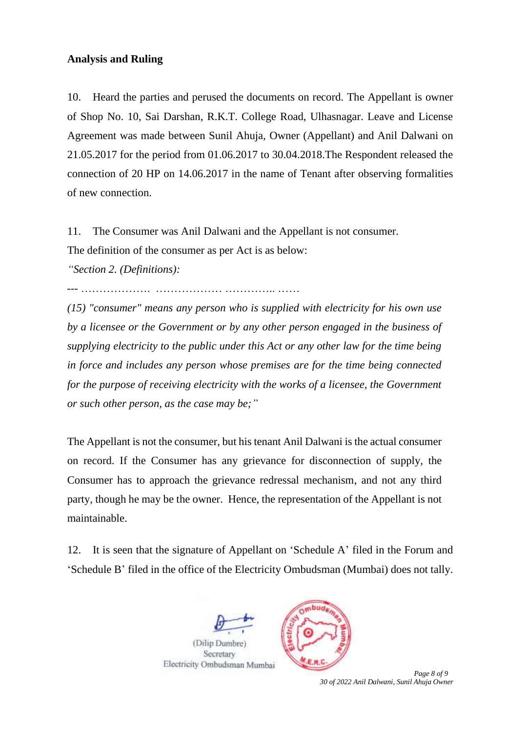## **Analysis and Ruling**

10. Heard the parties and perused the documents on record. The Appellant is owner of Shop No. 10, Sai Darshan, R.K.T. College Road, Ulhasnagar. Leave and License Agreement was made between Sunil Ahuja, Owner (Appellant) and Anil Dalwani on 21.05.2017 for the period from 01.06.2017 to 30.04.2018.The Respondent released the connection of 20 HP on 14.06.2017 in the name of Tenant after observing formalities of new connection.

11. The Consumer was Anil Dalwani and the Appellant is not consumer.

The definition of the consumer as per Act is as below:

*"Section 2. (Definitions):* 

--- ………………. ……………… ………….. ……

*(15) "consumer" means any person who is supplied with electricity for his own use by a licensee or the Government or by any other person engaged in the business of supplying electricity to the public under this Act or any other law for the time being in force and includes any person whose premises are for the time being connected*  for the purpose of receiving electricity with the works of a licensee, the Government *or such other person, as the case may be;"*

The Appellant is not the consumer, but his tenant Anil Dalwani is the actual consumer on record. If the Consumer has any grievance for disconnection of supply, the Consumer has to approach the grievance redressal mechanism, and not any third party, though he may be the owner. Hence, the representation of the Appellant is not maintainable.

12. It is seen that the signature of Appellant on 'Schedule A' filed in the Forum and 'Schedule B' filed in the office of the Electricity Ombudsman (Mumbai) does not tally.





 *Page 8 of 9 30 of 2022 Anil Dalwani, Sunil Ahuja Owner*